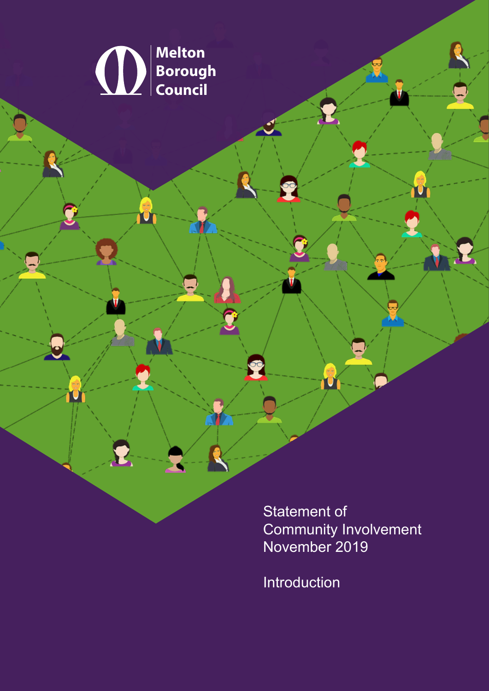

Statement of Community Involvement<br>November 2019

Introduction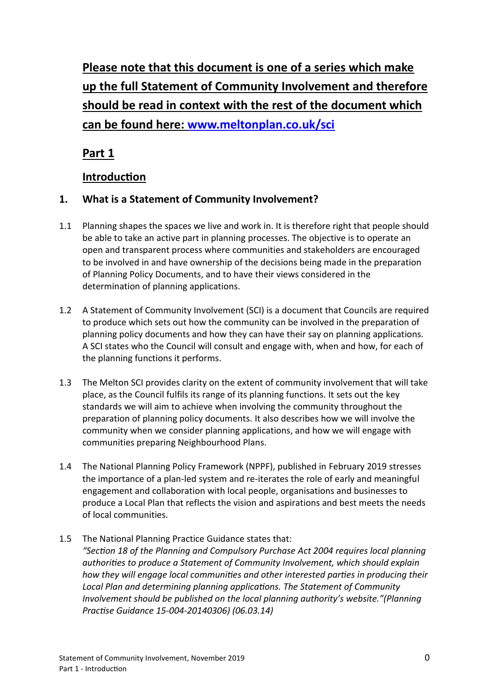**Please note that this document is one of a series which make up the full Statement of Community Involvement and therefore should be read in context with the rest of the document which can be found here: [www.meltonplan.co.uk/sci](http://www.meltonplan.co.uk/sci)**

**Part 1**

## **Introduction**

### **1. What is a Statement of Community Involvement?**

- 1.1 Planning shapes the spaces we live and work in. It is therefore right that people should be able to take an active part in planning processes. The objective is to operate an open and transparent process where communities and stakeholders are encouraged to be involved in and have ownership of the decisions being made in the preparation of Planning Policy Documents, and to have their views considered in the determination of planning applications.
- 1.2 A Statement of Community Involvement (SCI) is a document that Councils are required to produce which sets out how the community can be involved in the preparation of planning policy documents and how they can have their say on planning applications. A SCI states who the Council will consult and engage with, when and how, for each of the planning functions it performs.
- 1.3 The Melton SCI provides clarity on the extent of community involvement that will take place, as the Council fulfils its range of its planning functions. It sets out the key standards we will aim to achieve when involving the community throughout the preparation of planning policy documents. It also describes how we will involve the community when we consider planning applications, and how we will engage with communities preparing Neighbourhood Plans.
- 1.4 The National Planning Policy Framework (NPPF), published in February 2019 stresses the importance of a plan-led system and re-iterates the role of early and meaningful engagement and collaboration with local people, organisations and businesses to produce a Local Plan that reflects the vision and aspirations and best meets the needs of local communities.
- 1.5 The National Planning Practice Guidance states that: *"Section 18 of the Planning and Compulsory Purchase Act 2004 requires local planning authorities to produce a Statement of Community Involvement, which should explain how they will engage local communities and other interested parties in producing their Local Plan and determining planning applications. The Statement of Community Involvement should be published on the local planning authority's website."(Planning Practise Guidance 15-004-20140306) (06.03.14)*